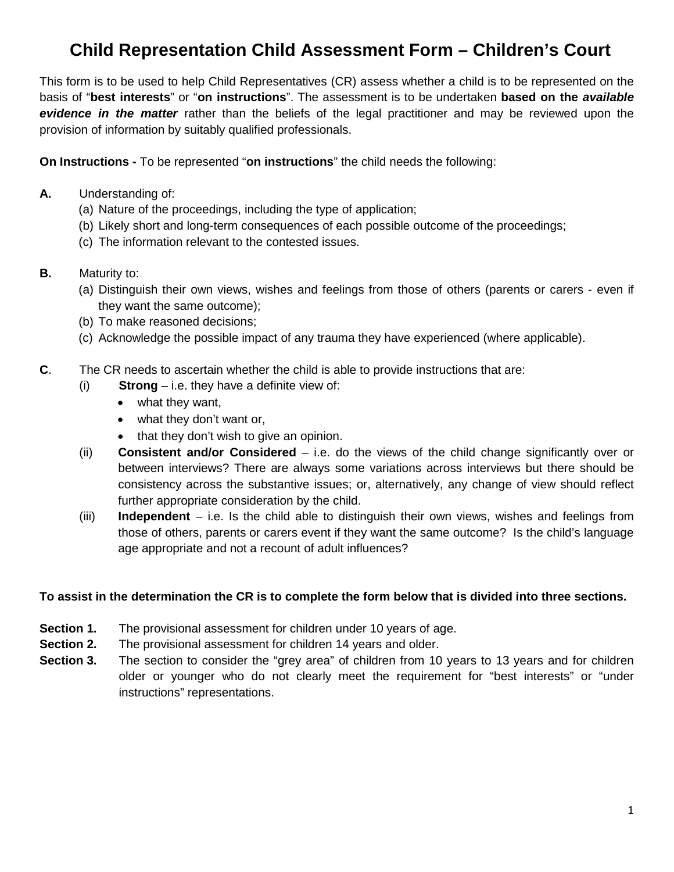# **Child Representation Child Assessment Form – Children's Court**

This form is to be used to help Child Representatives (CR) assess whether a child is to be represented on the basis of "**best interests**" or "**on instructions**". The assessment is to be undertaken **based on the** *available evidence in the matter* rather than the beliefs of the legal practitioner and may be reviewed upon the provision of information by suitably qualified professionals.

**On Instructions -** To be represented "**on instructions**" the child needs the following:

- **A.** Understanding of:
	- (a) Nature of the proceedings, including the type of application;
	- (b) Likely short and long-term consequences of each possible outcome of the proceedings;
	- (c) The information relevant to the contested issues.
- **B.** Maturity to:
	- (a) Distinguish their own views, wishes and feelings from those of others (parents or carers even if they want the same outcome);
	- (b) To make reasoned decisions;
	- (c) Acknowledge the possible impact of any trauma they have experienced (where applicable).
- **C**. The CR needs to ascertain whether the child is able to provide instructions that are:
	- (i) **Strong** i.e. they have a definite view of:
		- what they want,
		- what they don't want or,
		- that they don't wish to give an opinion.
	- (ii) **Consistent and/or Considered** i.e. do the views of the child change significantly over or between interviews? There are always some variations across interviews but there should be consistency across the substantive issues; or, alternatively, any change of view should reflect further appropriate consideration by the child.
	- (iii) **Independent**  i.e. Is the child able to distinguish their own views, wishes and feelings from those of others, parents or carers event if they want the same outcome? Is the child's language age appropriate and not a recount of adult influences?

### **To assist in the determination the CR is to complete the form below that is divided into three sections.**

- **Section 1.** The provisional assessment for children under 10 years of age.
- **Section 2.** The provisional assessment for children 14 years and older.
- **Section 3.** The section to consider the "grey area" of children from 10 years to 13 years and for children older or younger who do not clearly meet the requirement for "best interests" or "under instructions" representations.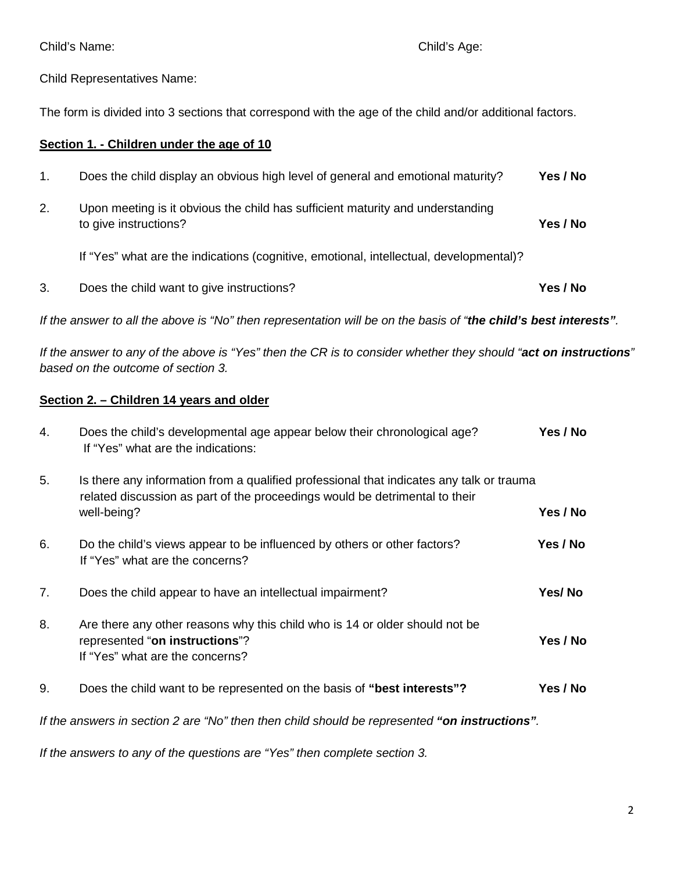Child Representatives Name:

The form is divided into 3 sections that correspond with the age of the child and/or additional factors.

### **Section 1. - Children under the age of 10**

| 3.            | Does the child want to give instructions?                                                               | Yes / No |
|---------------|---------------------------------------------------------------------------------------------------------|----------|
|               | If "Yes" what are the indications (cognitive, emotional, intellectual, developmental)?                  |          |
| 2.            | Upon meeting is it obvious the child has sufficient maturity and understanding<br>to give instructions? | Yes / No |
| $\mathbf 1$ . | Does the child display an obvious high level of general and emotional maturity?                         | Yes / No |

*If the answer to all the above is "No" then representation will be on the basis of "the child's best interests".*

*If the answer to any of the above is "Yes" then the CR is to consider whether they should "act on instructions" based on the outcome of section 3.* 

## **Section 2. – Children 14 years and older**

| 4. | Does the child's developmental age appear below their chronological age?<br>If "Yes" what are the indications:                                                                         | Yes / No |
|----|----------------------------------------------------------------------------------------------------------------------------------------------------------------------------------------|----------|
| 5. | Is there any information from a qualified professional that indicates any talk or trauma<br>related discussion as part of the proceedings would be detrimental to their<br>well-being? | Yes / No |
| 6. | Do the child's views appear to be influenced by others or other factors?<br>If "Yes" what are the concerns?                                                                            | Yes / No |
| 7. | Does the child appear to have an intellectual impairment?                                                                                                                              | Yes/No   |
| 8. | Are there any other reasons why this child who is 14 or older should not be<br>represented "on instructions"?<br>If "Yes" what are the concerns?                                       | Yes / No |
| 9. | Does the child want to be represented on the basis of "best interests"?                                                                                                                | Yes / No |

*If the answers in section 2 are "No" then then child should be represented "on instructions".*

*If the answers to any of the questions are "Yes" then complete section 3.*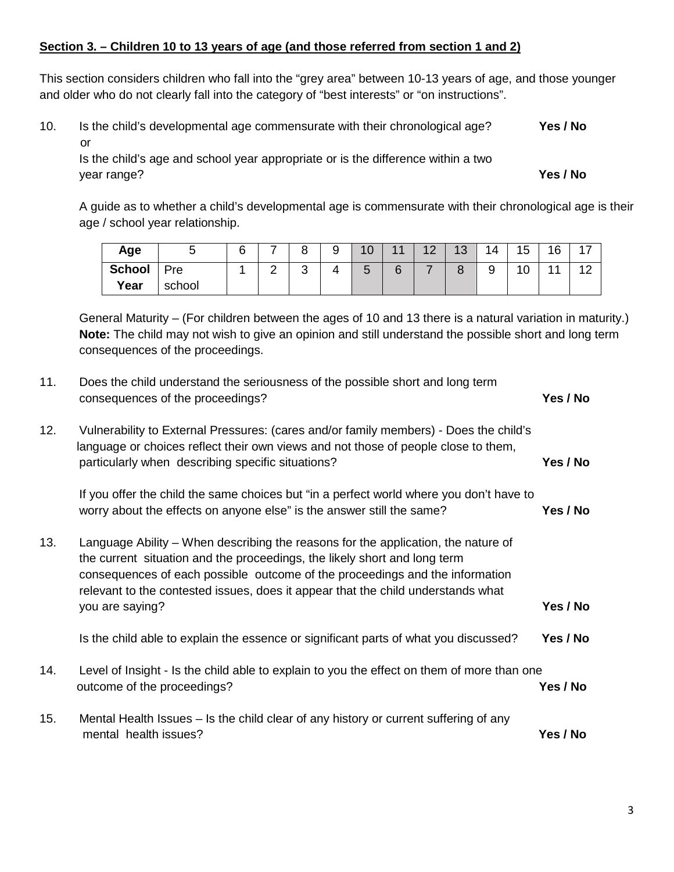## **Section 3. – Children 10 to 13 years of age (and those referred from section 1 and 2)**

This section considers children who fall into the "grey area" between 10-13 years of age, and those younger and older who do not clearly fall into the category of "best interests" or "on instructions".

10. Is the child's developmental age commensurate with their chronological age? **Yes / No** or

Is the child's age and school year appropriate or is the difference within a two year range? **Yes / No**

A guide as to whether a child's developmental age is commensurate with their chronological age is their age / school year relationship.

| Age           | ັ      | ี | $\overline{\phantom{0}}$ | $\circ$     | a | 10     | $\overline{44}$ | $\Lambda$ $\Omega$ | 13     | 14 | 15                  | 16<br>ັ | - |
|---------------|--------|---|--------------------------|-------------|---|--------|-----------------|--------------------|--------|----|---------------------|---------|---|
| <b>School</b> | Pre    |   | $\sim$<br>-              | $\sim$<br>ັ | Δ | ∽<br>ັ | 6               | -                  | C<br>ັ | a  | $\overline{A}$<br>U |         |   |
| Year          | school |   |                          |             |   |        |                 |                    |        |    |                     |         |   |

General Maturity – (For children between the ages of 10 and 13 there is a natural variation in maturity.) **Note:** The child may not wish to give an opinion and still understand the possible short and long term consequences of the proceedings.

| 11. | Does the child understand the seriousness of the possible short and long term<br>consequences of the proceedings?                                                                                                                                                                                                                                     | Yes / No |
|-----|-------------------------------------------------------------------------------------------------------------------------------------------------------------------------------------------------------------------------------------------------------------------------------------------------------------------------------------------------------|----------|
| 12. | Vulnerability to External Pressures: (cares and/or family members) - Does the child's<br>language or choices reflect their own views and not those of people close to them,<br>particularly when describing specific situations?                                                                                                                      | Yes / No |
|     | If you offer the child the same choices but "in a perfect world where you don't have to<br>worry about the effects on anyone else" is the answer still the same?                                                                                                                                                                                      | Yes / No |
| 13. | Language Ability – When describing the reasons for the application, the nature of<br>the current situation and the proceedings, the likely short and long term<br>consequences of each possible outcome of the proceedings and the information<br>relevant to the contested issues, does it appear that the child understands what<br>you are saying? | Yes / No |
|     | Is the child able to explain the essence or significant parts of what you discussed?                                                                                                                                                                                                                                                                  | Yes / No |
| 14. | Level of Insight - Is the child able to explain to you the effect on them of more than one<br>outcome of the proceedings?                                                                                                                                                                                                                             | Yes / No |
| 15. | Mental Health Issues – Is the child clear of any history or current suffering of any<br>mental health issues?                                                                                                                                                                                                                                         | Yes / No |